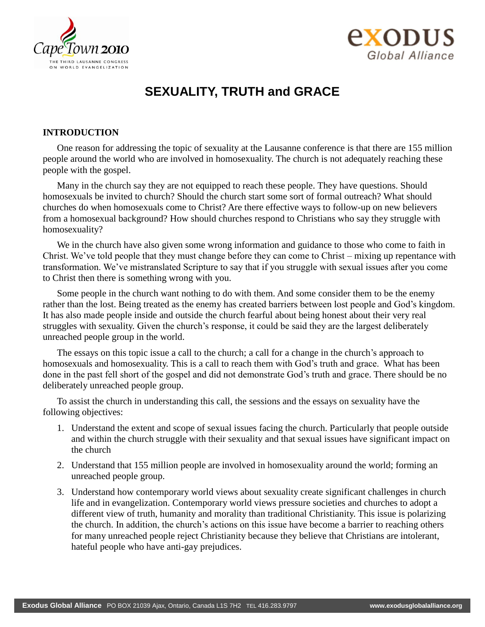



# **SEXUALITY, TRUTH and GRACE**

# **INTRODUCTION**

One reason for addressing the topic of sexuality at the Lausanne conference is that there are 155 million people around the world who are involved in homosexuality. The church is not adequately reaching these people with the gospel.

Many in the church say they are not equipped to reach these people. They have questions. Should homosexuals be invited to church? Should the church start some sort of formal outreach? What should churches do when homosexuals come to Christ? Are there effective ways to follow-up on new believers from a homosexual background? How should churches respond to Christians who say they struggle with homosexuality?

We in the church have also given some wrong information and guidance to those who come to faith in Christ. We've told people that they must change before they can come to Christ – mixing up repentance with transformation. We've mistranslated Scripture to say that if you struggle with sexual issues after you come to Christ then there is something wrong with you.

Some people in the church want nothing to do with them. And some consider them to be the enemy rather than the lost. Being treated as the enemy has created barriers between lost people and God's kingdom. It has also made people inside and outside the church fearful about being honest about their very real struggles with sexuality. Given the church's response, it could be said they are the largest deliberately unreached people group in the world.

The essays on this topic issue a call to the church; a call for a change in the church's approach to homosexuals and homosexuality. This is a call to reach them with God's truth and grace. What has been done in the past fell short of the gospel and did not demonstrate God's truth and grace. There should be no deliberately unreached people group.

To assist the church in understanding this call, the sessions and the essays on sexuality have the following objectives:

- 1. Understand the extent and scope of sexual issues facing the church. Particularly that people outside and within the church struggle with their sexuality and that sexual issues have significant impact on the church
- 2. Understand that 155 million people are involved in homosexuality around the world; forming an unreached people group.
- 3. Understand how contemporary world views about sexuality create significant challenges in church life and in evangelization. Contemporary world views pressure societies and churches to adopt a different view of truth, humanity and morality than traditional Christianity. This issue is polarizing the church. In addition, the church's actions on this issue have become a barrier to reaching others for many unreached people reject Christianity because they believe that Christians are intolerant, hateful people who have anti-gay prejudices.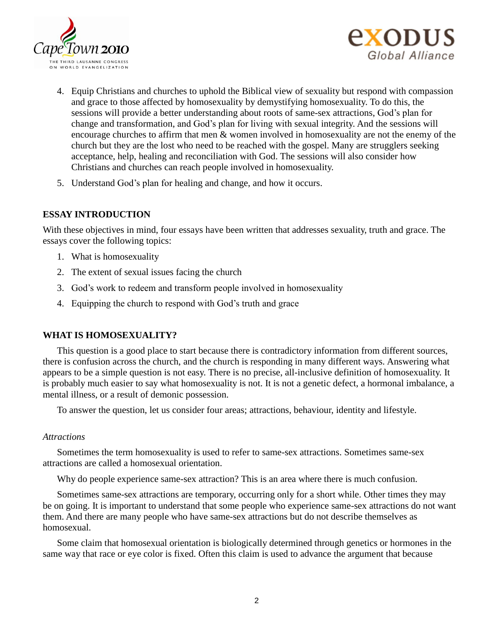



- 4. Equip Christians and churches to uphold the Biblical view of sexuality but respond with compassion and grace to those affected by homosexuality by demystifying homosexuality. To do this, the sessions will provide a better understanding about roots of same-sex attractions, God's plan for change and transformation, and God's plan for living with sexual integrity. And the sessions will encourage churches to affirm that men & women involved in homosexuality are not the enemy of the church but they are the lost who need to be reached with the gospel. Many are strugglers seeking acceptance, help, healing and reconciliation with God. The sessions will also consider how Christians and churches can reach people involved in homosexuality.
- 5. Understand God's plan for healing and change, and how it occurs.

# **ESSAY INTRODUCTION**

With these objectives in mind, four essays have been written that addresses sexuality, truth and grace. The essays cover the following topics:

- 1. What is homosexuality
- 2. The extent of sexual issues facing the church
- 3. God's work to redeem and transform people involved in homosexuality
- 4. Equipping the church to respond with God's truth and grace

# **WHAT IS HOMOSEXUALITY?**

This question is a good place to start because there is contradictory information from different sources, there is confusion across the church, and the church is responding in many different ways. Answering what appears to be a simple question is not easy. There is no precise, all-inclusive definition of homosexuality. It is probably much easier to say what homosexuality is not. It is not a genetic defect, a hormonal imbalance, a mental illness, or a result of demonic possession.

To answer the question, let us consider four areas; attractions, behaviour, identity and lifestyle.

# *Attractions*

Sometimes the term homosexuality is used to refer to same-sex attractions. Sometimes same-sex attractions are called a homosexual orientation.

Why do people experience same-sex attraction? This is an area where there is much confusion.

Sometimes same-sex attractions are temporary, occurring only for a short while. Other times they may be on going. It is important to understand that some people who experience same-sex attractions do not want them. And there are many people who have same-sex attractions but do not describe themselves as homosexual.

Some claim that homosexual orientation is biologically determined through genetics or hormones in the same way that race or eye color is fixed. Often this claim is used to advance the argument that because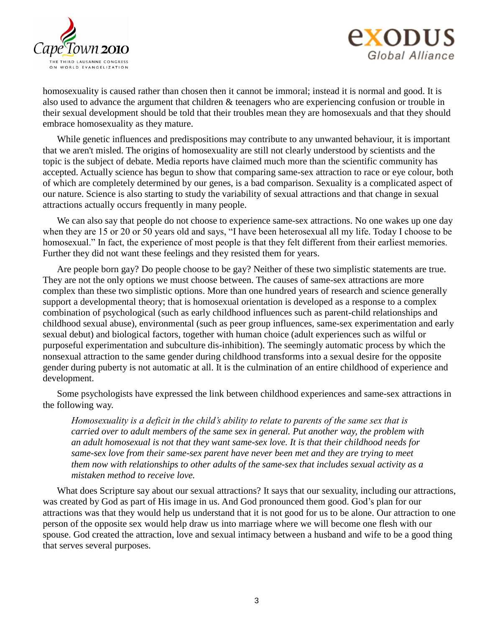



homosexuality is caused rather than chosen then it cannot be immoral; instead it is normal and good. It is also used to advance the argument that children & teenagers who are experiencing confusion or trouble in their sexual development should be told that their troubles mean they are homosexuals and that they should embrace homosexuality as they mature.

While genetic influences and predispositions may contribute to any unwanted behaviour, it is important that we aren't misled. The origins of homosexuality are still not clearly understood by scientists and the topic is the subject of debate. Media reports have claimed much more than the scientific community has accepted. Actually science has begun to show that comparing same-sex attraction to race or eye colour, both of which are completely determined by our genes, is a bad comparison. Sexuality is a complicated aspect of our nature. Science is also starting to study the variability of sexual attractions and that change in sexual attractions actually occurs frequently in many people.

We can also say that people do not choose to experience same-sex attractions. No one wakes up one day when they are 15 or 20 or 50 years old and says, "I have been heterosexual all my life. Today I choose to be homosexual." In fact, the experience of most people is that they felt different from their earliest memories. Further they did not want these feelings and they resisted them for years.

Are people born gay? Do people choose to be gay? Neither of these two simplistic statements are true. They are not the only options we must choose between. The causes of same-sex attractions are more complex than these two simplistic options. More than one hundred years of research and science generally support a developmental theory; that is homosexual orientation is developed as a response to a complex combination of psychological (such as early childhood influences such as parent-child relationships and childhood sexual abuse), environmental (such as peer group influences, same-sex experimentation and early sexual debut) and biological factors, together with human choice (adult experiences such as wilful or purposeful experimentation and subculture dis-inhibition). The seemingly automatic process by which the nonsexual attraction to the same gender during childhood transforms into a sexual desire for the opposite gender during puberty is not automatic at all. It is the culmination of an entire childhood of experience and development.

Some psychologists have expressed the link between childhood experiences and same-sex attractions in the following way.

*Homosexuality is a deficit in the child's ability to relate to parents of the same sex that is carried over to adult members of the same sex in general. Put another way, the problem with an adult homosexual is not that they want same-sex love. It is that their childhood needs for same-sex love from their same-sex parent have never been met and they are trying to meet them now with relationships to other adults of the same-sex that includes sexual activity as a mistaken method to receive love.*

What does Scripture say about our sexual attractions? It says that our sexuality, including our attractions, was created by God as part of His image in us. And God pronounced them good. God's plan for our attractions was that they would help us understand that it is not good for us to be alone. Our attraction to one person of the opposite sex would help draw us into marriage where we will become one flesh with our spouse. God created the attraction, love and sexual intimacy between a husband and wife to be a good thing that serves several purposes.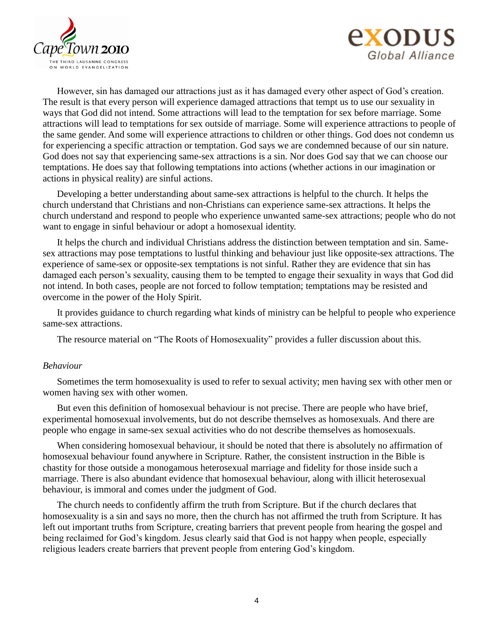



However, sin has damaged our attractions just as it has damaged every other aspect of God's creation. The result is that every person will experience damaged attractions that tempt us to use our sexuality in ways that God did not intend. Some attractions will lead to the temptation for sex before marriage. Some attractions will lead to temptations for sex outside of marriage. Some will experience attractions to people of the same gender. And some will experience attractions to children or other things. God does not condemn us for experiencing a specific attraction or temptation. God says we are condemned because of our sin nature. God does not say that experiencing same-sex attractions is a sin. Nor does God say that we can choose our temptations. He does say that following temptations into actions (whether actions in our imagination or actions in physical reality) are sinful actions.

Developing a better understanding about same-sex attractions is helpful to the church. It helps the church understand that Christians and non-Christians can experience same-sex attractions. It helps the church understand and respond to people who experience unwanted same-sex attractions; people who do not want to engage in sinful behaviour or adopt a homosexual identity.

It helps the church and individual Christians address the distinction between temptation and sin. Samesex attractions may pose temptations to lustful thinking and behaviour just like opposite-sex attractions. The experience of same-sex or opposite-sex temptations is not sinful. Rather they are evidence that sin has damaged each person's sexuality, causing them to be tempted to engage their sexuality in ways that God did not intend. In both cases, people are not forced to follow temptation; temptations may be resisted and overcome in the power of the Holy Spirit.

It provides guidance to church regarding what kinds of ministry can be helpful to people who experience same-sex attractions.

The resource material on "The Roots of Homosexuality" provides a fuller discussion about this.

#### *Behaviour*

Sometimes the term homosexuality is used to refer to sexual activity; men having sex with other men or women having sex with other women.

But even this definition of homosexual behaviour is not precise. There are people who have brief, experimental homosexual involvements, but do not describe themselves as homosexuals. And there are people who engage in same-sex sexual activities who do not describe themselves as homosexuals.

When considering homosexual behaviour, it should be noted that there is absolutely no affirmation of homosexual behaviour found anywhere in Scripture. Rather, the consistent instruction in the Bible is chastity for those outside a monogamous heterosexual marriage and fidelity for those inside such a marriage. There is also abundant evidence that homosexual behaviour, along with illicit heterosexual behaviour, is immoral and comes under the judgment of God.

The church needs to confidently affirm the truth from Scripture. But if the church declares that homosexuality is a sin and says no more, then the church has not affirmed the truth from Scripture. It has left out important truths from Scripture, creating barriers that prevent people from hearing the gospel and being reclaimed for God's kingdom. Jesus clearly said that God is not happy when people, especially religious leaders create barriers that prevent people from entering God's kingdom.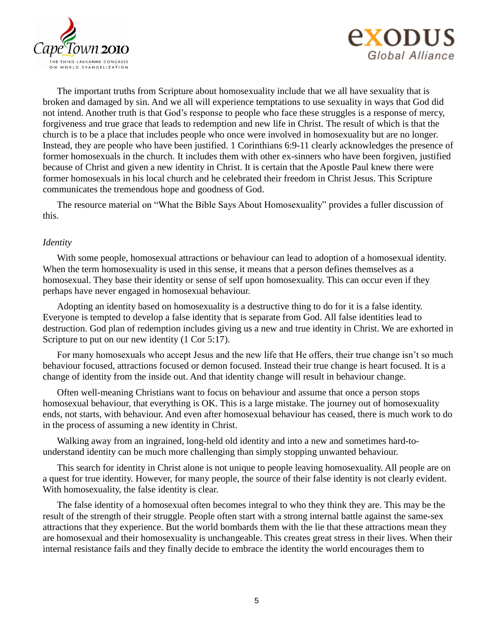



The important truths from Scripture about homosexuality include that we all have sexuality that is broken and damaged by sin. And we all will experience temptations to use sexuality in ways that God did not intend. Another truth is that God's response to people who face these struggles is a response of mercy, forgiveness and true grace that leads to redemption and new life in Christ. The result of which is that the church is to be a place that includes people who once were involved in homosexuality but are no longer. Instead, they are people who have been justified. 1 Corinthians 6:9-11 clearly acknowledges the presence of former homosexuals in the church. It includes them with other ex-sinners who have been forgiven, justified because of Christ and given a new identity in Christ. It is certain that the Apostle Paul knew there were former homosexuals in his local church and he celebrated their freedom in Christ Jesus. This Scripture communicates the tremendous hope and goodness of God.

The resource material on "What the Bible Says About Homosexuality" provides a fuller discussion of this.

#### *Identity*

With some people, homosexual attractions or behaviour can lead to adoption of a homosexual identity. When the term homosexuality is used in this sense, it means that a person defines themselves as a homosexual. They base their identity or sense of self upon homosexuality. This can occur even if they perhaps have never engaged in homosexual behaviour.

Adopting an identity based on homosexuality is a destructive thing to do for it is a false identity. Everyone is tempted to develop a false identity that is separate from God. All false identities lead to destruction. God plan of redemption includes giving us a new and true identity in Christ. We are exhorted in Scripture to put on our new identity (1 Cor 5:17).

For many homosexuals who accept Jesus and the new life that He offers, their true change isn't so much behaviour focused, attractions focused or demon focused. Instead their true change is heart focused. It is a change of identity from the inside out. And that identity change will result in behaviour change.

Often well-meaning Christians want to focus on behaviour and assume that once a person stops homosexual behaviour, that everything is OK. This is a large mistake. The journey out of homosexuality ends, not starts, with behaviour. And even after homosexual behaviour has ceased, there is much work to do in the process of assuming a new identity in Christ.

Walking away from an ingrained, long-held old identity and into a new and sometimes hard-tounderstand identity can be much more challenging than simply stopping unwanted behaviour.

This search for identity in Christ alone is not unique to people leaving homosexuality. All people are on a quest for true identity. However, for many people, the source of their false identity is not clearly evident. With homosexuality, the false identity is clear.

The false identity of a homosexual often becomes integral to who they think they are. This may be the result of the strength of their struggle. People often start with a strong internal battle against the same-sex attractions that they experience. But the world bombards them with the lie that these attractions mean they are homosexual and their homosexuality is unchangeable. This creates great stress in their lives. When their internal resistance fails and they finally decide to embrace the identity the world encourages them to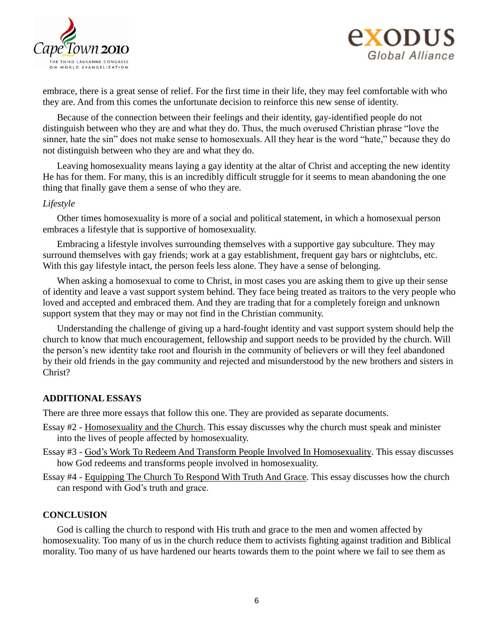



embrace, there is a great sense of relief. For the first time in their life, they may feel comfortable with who they are. And from this comes the unfortunate decision to reinforce this new sense of identity.

Because of the connection between their feelings and their identity, gay-identified people do not distinguish between who they are and what they do. Thus, the much overused Christian phrase "love the sinner, hate the sin" does not make sense to homosexuals. All they hear is the word "hate," because they do not distinguish between who they are and what they do.

Leaving homosexuality means laying a gay identity at the altar of Christ and accepting the new identity He has for them. For many, this is an incredibly difficult struggle for it seems to mean abandoning the one thing that finally gave them a sense of who they are.

# *Lifestyle*

Other times homosexuality is more of a social and political statement, in which a homosexual person embraces a lifestyle that is supportive of homosexuality.

Embracing a lifestyle involves surrounding themselves with a supportive gay subculture. They may surround themselves with gay friends; work at a gay establishment, frequent gay bars or nightclubs, etc. With this gay lifestyle intact, the person feels less alone. They have a sense of belonging.

When asking a homosexual to come to Christ, in most cases you are asking them to give up their sense of identity and leave a vast support system behind. They face being treated as traitors to the very people who loved and accepted and embraced them. And they are trading that for a completely foreign and unknown support system that they may or may not find in the Christian community.

Understanding the challenge of giving up a hard-fought identity and vast support system should help the church to know that much encouragement, fellowship and support needs to be provided by the church. Will the person's new identity take root and flourish in the community of believers or will they feel abandoned by their old friends in the gay community and rejected and misunderstood by the new brothers and sisters in Christ?

# **ADDITIONAL ESSAYS**

There are three more essays that follow this one. They are provided as separate documents.

- Essay #2 Homosexuality and the Church. This essay discusses why the church must speak and minister into the lives of people affected by homosexuality.
- Essay #3 God's Work To Redeem And Transform People Involved In Homosexuality. This essay discusses how God redeems and transforms people involved in homosexuality.
- Essay #4 Equipping The Church To Respond With Truth And Grace. This essay discusses how the church can respond with God's truth and grace.

# **CONCLUSION**

God is calling the church to respond with His truth and grace to the men and women affected by homosexuality. Too many of us in the church reduce them to activists fighting against tradition and Biblical morality. Too many of us have hardened our hearts towards them to the point where we fail to see them as